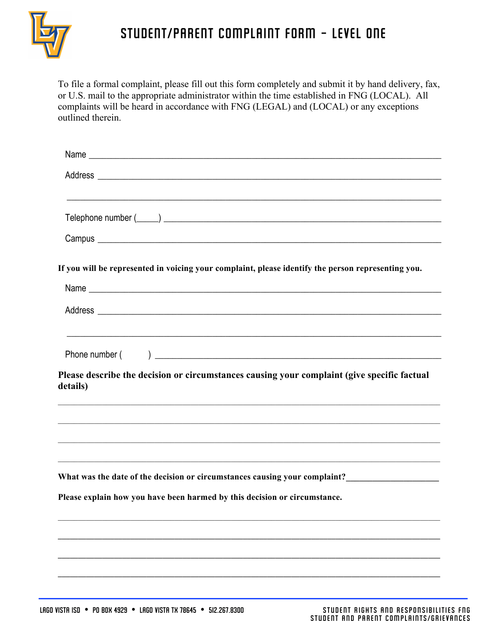

## student/parent Complaint Form - LEVEL one

To file a formal complaint, please fill out this form completely and submit it by hand delivery, fax, or U.S. mail to the appropriate administrator within the time established in FNG (LOCAL). All complaints will be heard in accordance with FNG (LEGAL) and (LOCAL) or any exceptions outlined therein.

| If you will be represented in voicing your complaint, please identify the person representing you.                                                                                           |  |
|----------------------------------------------------------------------------------------------------------------------------------------------------------------------------------------------|--|
|                                                                                                                                                                                              |  |
|                                                                                                                                                                                              |  |
| Please describe the decision or circumstances causing your complaint (give specific factual<br>details)<br>,我们也不能在这里的时候,我们也不能在这里的时候,我们也不能会在这里的时候,我们也不能会在这里的时候,我们也不能会在这里的时候,我们也不能会在这里的时候,我们也不 |  |
|                                                                                                                                                                                              |  |
| What was the date of the decision or circumstances causing your complaint?__________________________                                                                                         |  |
|                                                                                                                                                                                              |  |
|                                                                                                                                                                                              |  |
|                                                                                                                                                                                              |  |
| Please explain how you have been harmed by this decision or circumstance.                                                                                                                    |  |